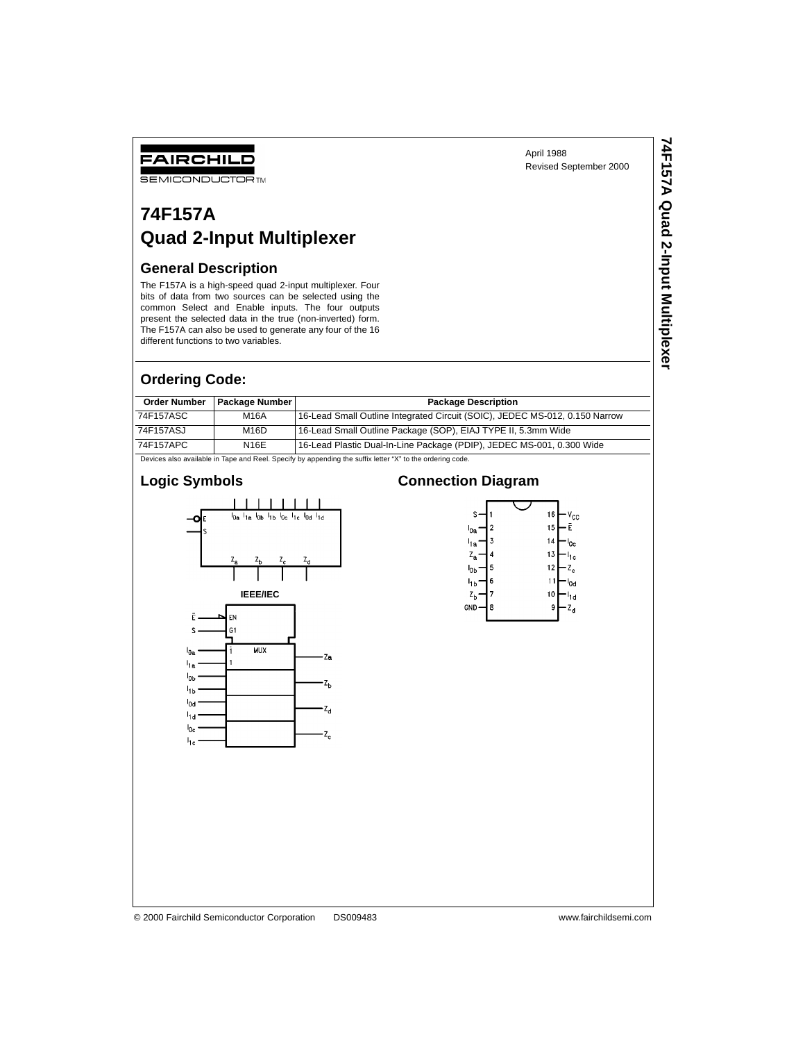April 1988 Revised September 2000 **74F157A Quad 2-Input Multiplexer**

74F157A Quad 2-Input Multiplexer

# **74F157A Quad 2-Input Multiplexer**

#### **General Description**

FAIRCHILD **SEMICONDUCTOR TM** 

The F157A is a high-speed quad 2-input multiplexer. Four bits of data from two sources can be selected using the common Select and Enable inputs. The four outputs present the selected data in the true (non-inverted) form. The F157A can also be used to generate any four of the 16 different functions to two variables.

#### **Ordering Code:**

| <b>Order Number</b>                                                                                              | <b>Package Number</b> | <b>Package Description</b>                                                  |  |  |  |  |
|------------------------------------------------------------------------------------------------------------------|-----------------------|-----------------------------------------------------------------------------|--|--|--|--|
| 74F157ASC                                                                                                        | M16A                  | 16-Lead Small Outline Integrated Circuit (SOIC), JEDEC MS-012, 0.150 Narrow |  |  |  |  |
| 74F157ASJ                                                                                                        | M <sub>16</sub> D     | 16-Lead Small Outline Package (SOP), EIAJ TYPE II, 5.3mm Wide               |  |  |  |  |
| 74F157APC                                                                                                        | N16E                  | 16-Lead Plastic Dual-In-Line Package (PDIP), JEDEC MS-001, 0.300 Wide       |  |  |  |  |
| Dende and a constitute to Texas and Deat Dead of the composition the conflict texas (W) to the contentral and de |                       |                                                                             |  |  |  |  |

Devices also available in Tape and Reel. Specify by appending the suffix letter "X" to the ordering code.

## **Logic Symbols**



### **Connection Diagram**

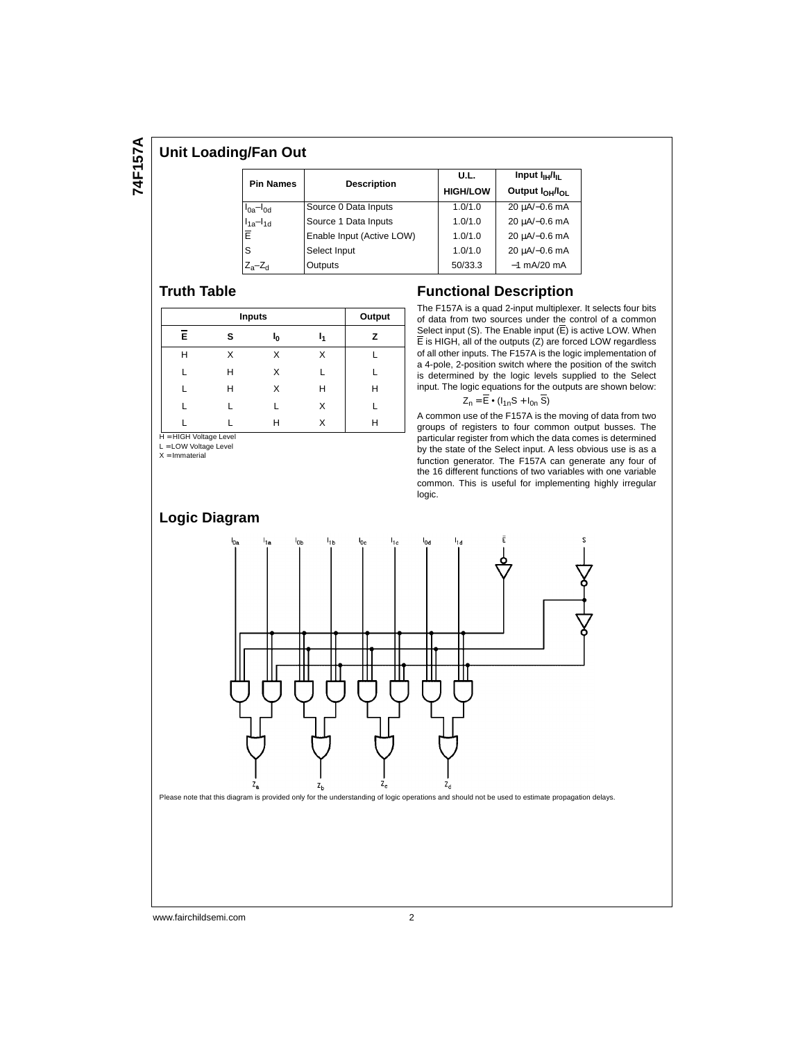#### **Unit Loading/Fan Out**

|                     |                           | U.L.            | Input $I_{\text{H}}/I_{\text{H}}$       |  |  |
|---------------------|---------------------------|-----------------|-----------------------------------------|--|--|
| <b>Pin Names</b>    | <b>Description</b>        | <b>HIGH/LOW</b> | Output I <sub>OH</sub> /I <sub>OI</sub> |  |  |
| $I_{0a}$ - $I_{0d}$ | Source 0 Data Inputs      | 1.0/1.0         | $20 \mu A/-0.6 \text{ mA}$              |  |  |
| $I_{1a}$ - $I_{1d}$ | Source 1 Data Inputs      | 1.0/1.0         | 20 µA/-0.6 mA                           |  |  |
| Ē                   | Enable Input (Active LOW) | 1.0/1.0         | 20 µA/-0.6 mA                           |  |  |
| S                   | Select Input              | 1.0/1.0         | 20 µA/-0.6 mA                           |  |  |
| $Z_a-Z_d$           | Outputs                   | 50/33.3         | $-1$ mA/20 mA                           |  |  |

#### **Truth Table**

|   | Output |    |    |   |
|---|--------|----|----|---|
| Ē | s      | ı0 | ı, | z |
| н | Χ      | Χ  | Χ  |   |
| L | н      | X  | L  |   |
|   | н      | X  | н  | Н |
|   |        |    | X  |   |
|   |        | Н  | X  | Н |

H = HIGH Voltage Level  $L =$  LOW Voltage Level

 $X =$ Immaterial

#### **Functional Description**

The F157A is a quad 2-input multiplexer. It selects four bits of data from two sources under the control of a common Select input (S). The Enable input  $(\overline{E})$  is active LOW. When  $\overline{E}$  is HIGH, all of the outputs (Z) are forced LOW regardless of all other inputs. The F157A is the logic implementation of a 4-pole, 2-position switch where the position of the switch is determined by the logic levels supplied to the Select input. The logic equations for the outputs are shown below:

#### $Z_n = \overline{E} \cdot (I_{1n}S + I_{0n} \overline{S})$

A common use of the F157A is the moving of data from two groups of registers to four common output busses. The particular register from which the data comes is determined by the state of the Select input. A less obvious use is as a function generator. The F157A can generate any four of the 16 different functions of two variables with one variable common. This is useful for implementing highly irregular logic.



www.fairchildsemi.com 2